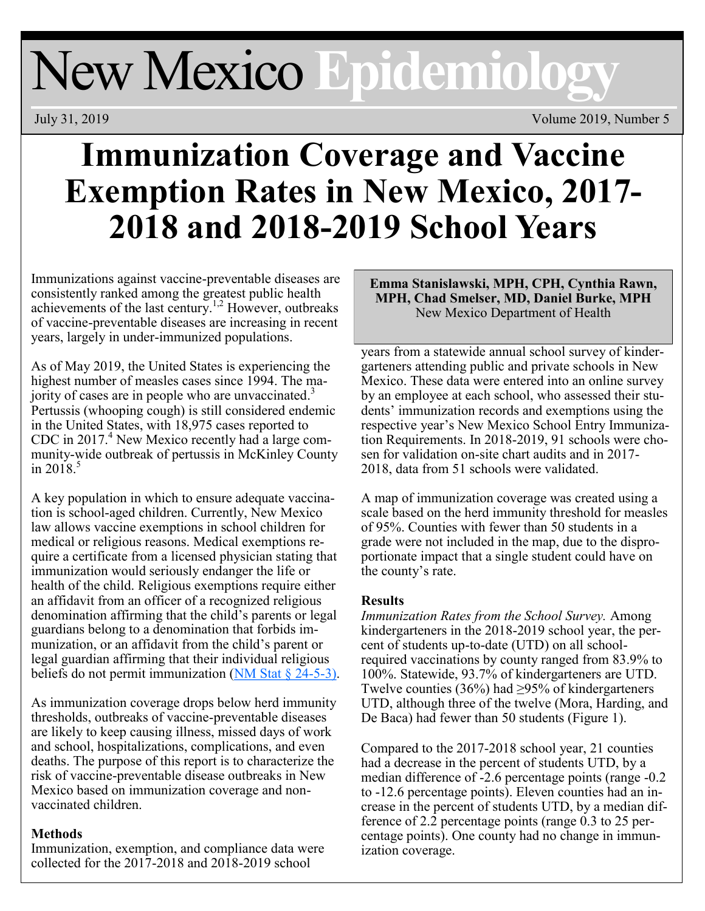# New Mexico **Epidemiology**

July 31, 2019 Volume 2019, Number 5

# **Immunization Coverage and Vaccine Exemption Rates in New Mexico, 2017- 2018 and 2018-2019 School Years**

Immunizations against vaccine-preventable diseases are consistently ranked among the greatest public health achievements of the last century.<sup>1,2</sup> However, outbreaks of vaccine-preventable diseases are increasing in recent years, largely in under-immunized populations.

As of May 2019, the United States is experiencing the highest number of measles cases since 1994. The majority of cases are in people who are unvaccinated.<sup>3</sup> Pertussis (whooping cough) is still considered endemic in the United States, with 18,975 cases reported to CDC in  $2017<sup>4</sup>$  New Mexico recently had a large community-wide outbreak of pertussis in McKinley County in  $2018.<sup>5</sup>$ 

A key population in which to ensure adequate vaccination is school-aged children. Currently, New Mexico law allows vaccine exemptions in school children for medical or religious reasons. Medical exemptions require a certificate from a licensed physician stating that immunization would seriously endanger the life or health of the child. Religious exemptions require either an affidavit from an officer of a recognized religious denomination affirming that the child's parents or legal guardians belong to a denomination that forbids immunization, or an affidavit from the child's parent or legal guardian affirming that their individual religious beliefs do not permit immunization ( $NM$  Stat § 24-5-3).

As immunization coverage drops below herd immunity thresholds, outbreaks of vaccine-preventable diseases are likely to keep causing illness, missed days of work and school, hospitalizations, complications, and even deaths. The purpose of this report is to characterize the risk of vaccine-preventable disease outbreaks in New Mexico based on immunization coverage and nonvaccinated children.

# **Methods**

Immunization, exemption, and compliance data were collected for the 2017-2018 and 2018-2019 school

**Emma Stanislawski, MPH, CPH, Cynthia Rawn, MPH, Chad Smelser, MD, Daniel Burke, MPH**  New Mexico Department of Health

years from a statewide annual school survey of kindergarteners attending public and private schools in New Mexico. These data were entered into an online survey by an employee at each school, who assessed their students' immunization records and exemptions using the respective year's New Mexico School Entry Immunization Requirements. In 2018-2019, 91 schools were chosen for validation on-site chart audits and in 2017- 2018, data from 51 schools were validated.

A map of immunization coverage was created using a scale based on the herd immunity threshold for measles of 95%. Counties with fewer than 50 students in a grade were not included in the map, due to the disproportionate impact that a single student could have on the county's rate.

# **Results**

*Immunization Rates from the School Survey.* Among kindergarteners in the 2018-2019 school year, the percent of students up-to-date (UTD) on all schoolrequired vaccinations by county ranged from 83.9% to 100%. Statewide, 93.7% of kindergarteners are UTD. Twelve counties (36%) had  $\geq$ 95% of kindergarteners UTD, although three of the twelve (Mora, Harding, and De Baca) had fewer than 50 students (Figure 1).

Compared to the 2017-2018 school year, 21 counties had a decrease in the percent of students UTD, by a median difference of -2.6 percentage points (range -0.2 to -12.6 percentage points). Eleven counties had an increase in the percent of students UTD, by a median difference of 2.2 percentage points (range 0.3 to 25 percentage points). One county had no change in immunization coverage.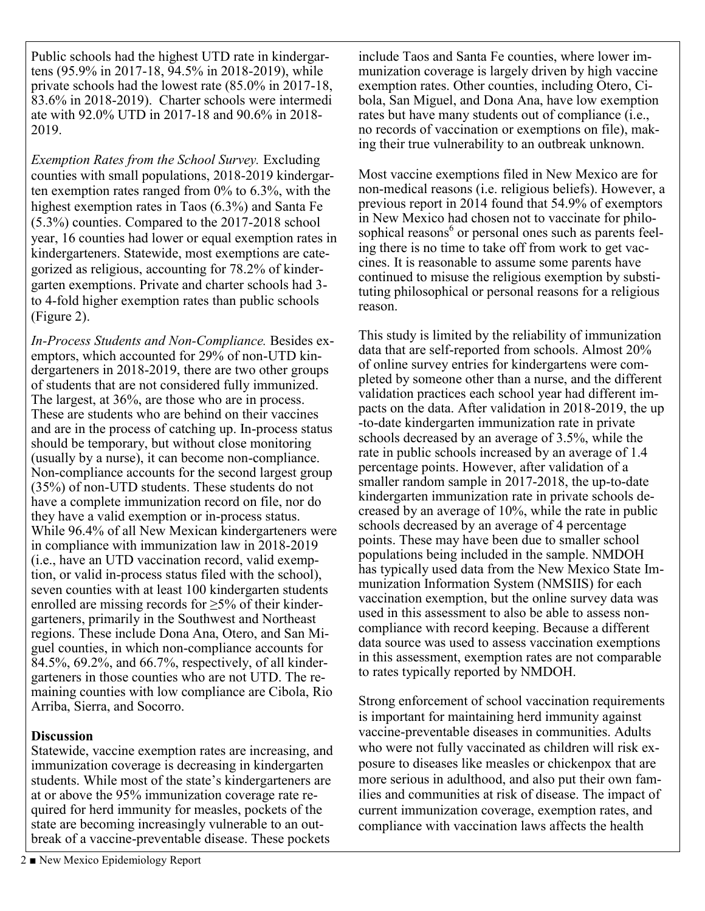Public schools had the highest UTD rate in kindergartens (95.9% in 2017-18, 94.5% in 2018-2019), while private schools had the lowest rate (85.0% in 2017-18, 83.6% in 2018-2019). Charter schools were intermedi ate with 92.0% UTD in 2017-18 and 90.6% in 2018- 2019.

*Exemption Rates from the School Survey.* Excluding counties with small populations, 2018-2019 kindergarten exemption rates ranged from 0% to 6.3%, with the highest exemption rates in Taos (6.3%) and Santa Fe (5.3%) counties. Compared to the 2017-2018 school year, 16 counties had lower or equal exemption rates in kindergarteners. Statewide, most exemptions are categorized as religious, accounting for 78.2% of kindergarten exemptions. Private and charter schools had 3 to 4-fold higher exemption rates than public schools (Figure 2).

*In-Process Students and Non-Compliance.* Besides exemptors, which accounted for 29% of non-UTD kindergarteners in 2018-2019, there are two other groups of students that are not considered fully immunized. The largest, at 36%, are those who are in process. These are students who are behind on their vaccines and are in the process of catching up. In-process status should be temporary, but without close monitoring (usually by a nurse), it can become non-compliance. Non-compliance accounts for the second largest group (35%) of non-UTD students. These students do not have a complete immunization record on file, nor do they have a valid exemption or in-process status. While 96.4% of all New Mexican kindergarteners were in compliance with immunization law in 2018-2019 (i.e., have an UTD vaccination record, valid exemption, or valid in-process status filed with the school), seven counties with at least 100 kindergarten students enrolled are missing records for  $\geq$ 5% of their kindergarteners, primarily in the Southwest and Northeast regions. These include Dona Ana, Otero, and San Miguel counties, in which non-compliance accounts for 84.5%, 69.2%, and 66.7%, respectively, of all kindergarteners in those counties who are not UTD. The remaining counties with low compliance are Cibola, Rio Arriba, Sierra, and Socorro.

#### **Discussion**

Statewide, vaccine exemption rates are increasing, and immunization coverage is decreasing in kindergarten students. While most of the state's kindergarteners are at or above the 95% immunization coverage rate required for herd immunity for measles, pockets of the state are becoming increasingly vulnerable to an outbreak of a vaccine-preventable disease. These pockets

Most vaccine exemptions filed in New Mexico are for non-medical reasons (i.e. religious beliefs). However, a previous report in 2014 found that 54.9% of exemptors in New Mexico had chosen not to vaccinate for philosophical reasons<sup>6</sup> or personal ones such as parents feeling there is no time to take off from work to get vaccines. It is reasonable to assume some parents have continued to misuse the religious exemption by substituting philosophical or personal reasons for a religious reason.

This study is limited by the reliability of immunization data that are self-reported from schools. Almost 20% of online survey entries for kindergartens were completed by someone other than a nurse, and the different validation practices each school year had different impacts on the data. After validation in 2018-2019, the up -to-date kindergarten immunization rate in private schools decreased by an average of 3.5%, while the rate in public schools increased by an average of 1.4 percentage points. However, after validation of a smaller random sample in 2017-2018, the up-to-date kindergarten immunization rate in private schools decreased by an average of 10%, while the rate in public schools decreased by an average of 4 percentage points. These may have been due to smaller school populations being included in the sample. NMDOH has typically used data from the New Mexico State Immunization Information System (NMSIIS) for each vaccination exemption, but the online survey data was used in this assessment to also be able to assess noncompliance with record keeping. Because a different data source was used to assess vaccination exemptions in this assessment, exemption rates are not comparable to rates typically reported by NMDOH.

Strong enforcement of school vaccination requirements is important for maintaining herd immunity against vaccine-preventable diseases in communities. Adults who were not fully vaccinated as children will risk exposure to diseases like measles or chickenpox that are more serious in adulthood, and also put their own families and communities at risk of disease. The impact of current immunization coverage, exemption rates, and compliance with vaccination laws affects the health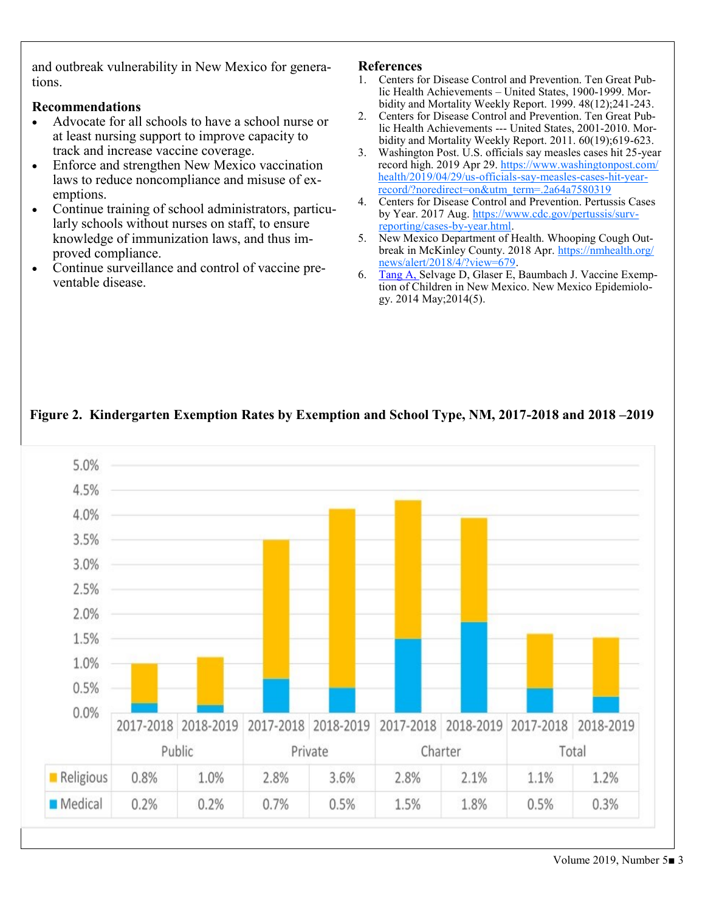and outbreak vulnerability in New Mexico for generations.

#### **Recommendations**

- Advocate for all schools to have a school nurse or at least nursing support to improve capacity to track and increase vaccine coverage.
- Enforce and strengthen New Mexico vaccination laws to reduce noncompliance and misuse of exemptions.
- Continue training of school administrators, particularly schools without nurses on staff, to ensure knowledge of immunization laws, and thus improved compliance.
- Continue surveillance and control of vaccine preventable disease.

#### **References**

- 1. Centers for Disease Control and Prevention. Ten Great Public Health Achievements – United States, 1900-1999. Morbidity and Mortality Weekly Report. 1999. 48(12);241-243.
- 2. Centers for Disease Control and Prevention. Ten Great Public Health Achievements --- United States, 2001-2010. Morbidity and Mortality Weekly Report. 2011. 60(19);619-623.
- 3. Washington Post. U.S. officials say measles cases hit 25-year record high. 2019 Apr 29. [https://www.washingtonpost.com/](https://www.washingtonpost.com/health/2019/04/29/us-officials-say-measles-cases-hit-year-record/?noredirect=on&utm_term=.2a64a7580319) [health/2019/04/29/us](https://www.washingtonpost.com/health/2019/04/29/us-officials-say-measles-cases-hit-year-record/?noredirect=on&utm_term=.2a64a7580319)-officials-say-measles-cases-hit-year[record/?noredirect=on&utm\\_term=.2a64a7580319](https://www.washingtonpost.com/health/2019/04/29/us-officials-say-measles-cases-hit-year-record/?noredirect=on&utm_term=.2a64a7580319)
- 4. Centers for Disease Control and Prevention. Pertussis Cases by Year. 2017 Aug. [https://www.cdc.gov/pertussis/surv](https://www.cdc.gov/pertussis/surv-reporting/cases-by-year.html)[reporting/cases](https://www.cdc.gov/pertussis/surv-reporting/cases-by-year.html)-by-year.html.
- 5. New Mexico Department of Health. Whooping Cough Outbreak in McKinley County. 2018 Apr. [https://nmhealth.org/](https://nmhealth.org/news/alert/2018/4/?view=679) [news/alert/2018/4/?view=679.](https://nmhealth.org/news/alert/2018/4/?view=679)
- 6. Tang A, Selvage D, Glaser E, Baumbach J. Vaccine Exemption of Children in New Mexico. New Mexico Epidemiology. 2014 May;2014(5).



# **Figure 2. Kindergarten Exemption Rates by Exemption and School Type, NM, 2017-2018 and 2018 –2019**